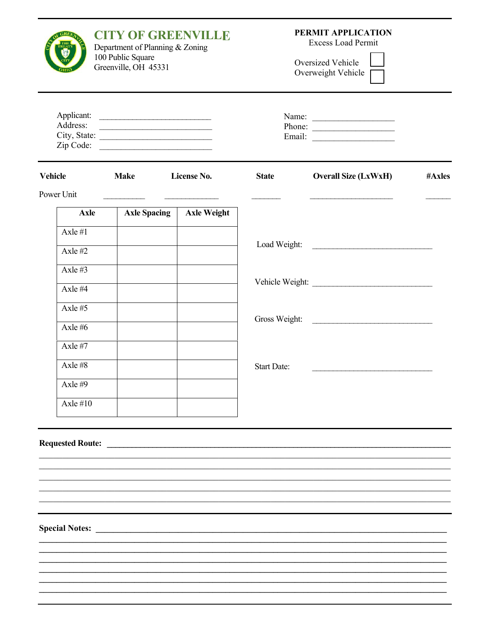| <b>CITY OF GREENVILLE</b><br>Department of Planning & Zoning<br>100 Public Square<br>Greenville, OH 45331 |                              |                            | PERMIT APPLICATION<br><b>Excess Load Permit</b><br>Oversized Vehicle<br>Overweight Vehicle |                    |                             |        |
|-----------------------------------------------------------------------------------------------------------|------------------------------|----------------------------|--------------------------------------------------------------------------------------------|--------------------|-----------------------------|--------|
|                                                                                                           | Address:                     | Applicant:<br>City, State: |                                                                                            |                    | Phone:                      |        |
|                                                                                                           | <b>Vehicle</b><br>Power Unit | <b>Make</b>                | License No.                                                                                | <b>State</b>       | <b>Overall Size (LxWxH)</b> | #Axles |
|                                                                                                           | <b>Axle</b>                  | <b>Axle Spacing</b>        | <b>Axle Weight</b>                                                                         |                    |                             |        |
|                                                                                                           | Axle #1                      |                            |                                                                                            |                    |                             |        |
|                                                                                                           | Axle $#2$                    |                            |                                                                                            |                    |                             |        |
|                                                                                                           | Axle $#3$                    |                            |                                                                                            |                    |                             |        |
|                                                                                                           | Axle $#4$                    |                            |                                                                                            |                    |                             |        |
|                                                                                                           | Axle#5                       |                            |                                                                                            |                    |                             |        |
|                                                                                                           | Axle $#6$                    |                            |                                                                                            |                    |                             |        |
|                                                                                                           | Axle#7                       |                            |                                                                                            |                    |                             |        |
|                                                                                                           | Axle#8                       |                            |                                                                                            | <b>Start Date:</b> |                             |        |
|                                                                                                           | Axle #9                      |                            |                                                                                            |                    |                             |        |
|                                                                                                           | Axle $#10$                   |                            |                                                                                            |                    |                             |        |
|                                                                                                           | <b>Requested Route:</b>      |                            |                                                                                            |                    |                             |        |
|                                                                                                           |                              |                            |                                                                                            |                    |                             |        |
|                                                                                                           |                              |                            |                                                                                            |                    |                             |        |
|                                                                                                           |                              |                            |                                                                                            |                    |                             |        |
|                                                                                                           | <b>Special Notes:</b>        |                            |                                                                                            |                    |                             |        |
|                                                                                                           |                              |                            |                                                                                            |                    |                             |        |
|                                                                                                           |                              |                            |                                                                                            |                    |                             |        |
|                                                                                                           |                              |                            |                                                                                            |                    |                             |        |